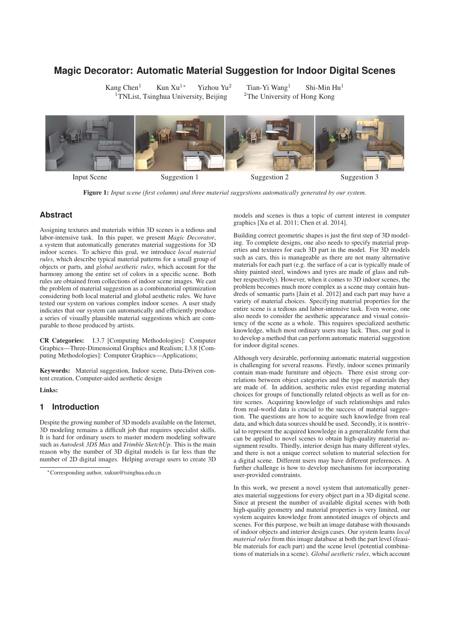# **Magic Decorator: Automatic Material Suggestion for Indoor Digital Scenes**

Kang Chen<sup>1</sup> Kun Xu<sup>1∗</sup> Yizhou Yu<sup>2</sup> Tian-Yi Wang<sup>1</sup> Shi-Min Hu<sup>1</sup><sup>1</sup>TNList, Tsinghua University, Beijing <sup>2</sup>The University of Hong Kong  $1$ TNList, Tsinghua University, Beijing



Figure 1: *Input scene (first column) and three material suggestions automatically generated by our system.*

# **Abstract**

Assigning textures and materials within 3D scenes is a tedious and labor-intensive task. In this paper, we present *Magic Decorator*, a system that automatically generates material suggestions for 3D indoor scenes. To achieve this goal, we introduce *local material rules*, which describe typical material patterns for a small group of objects or parts, and *global aesthetic rules*, which account for the harmony among the entire set of colors in a specific scene. Both rules are obtained from collections of indoor scene images. We cast the problem of material suggestion as a combinatorial optimization considering both local material and global aesthetic rules. We have tested our system on various complex indoor scenes. A user study indicates that our system can automatically and efficiently produce a series of visually plausible material suggestions which are comparable to those produced by artists.

CR Categories: I.3.7 [Computing Methodologies]: Computer Graphics—Three-Dimensional Graphics and Realism; I.3.8 [Computing Methodologies]: Computer Graphics—Applications;

Keywords: Material suggestion, Indoor scene, Data-Driven content creation, Computer-aided aesthetic design

### Links:

# **1 Introduction**

Despite the growing number of 3D models available on the Internet, 3D modeling remains a difficult job that requires specialist skills. It is hard for ordinary users to master modern modeling software such as *Autodesk 3DS Max* and *Trimble SketchUp*. This is the main reason why the number of 3D digital models is far less than the number of 2D digital images. Helping average users to create 3D

models and scenes is thus a topic of current interest in computer graphics [Xu et al. 2011; Chen et al. 2014].

Building correct geometric shapes is just the first step of 3D modeling. To complete designs, one also needs to specify material properties and textures for each 3D part in the model. For 3D models such as cars, this is manageable as there are not many alternative materials for each part (e.g. the surface of a car is typically made of shiny painted steel, windows and tyres are made of glass and rubber respectively). However, when it comes to 3D indoor scenes, the problem becomes much more complex as a scene may contain hundreds of semantic parts [Jain et al. 2012] and each part may have a variety of material choices. Specifying material properties for the entire scene is a tedious and labor-intensive task. Even worse, one also needs to consider the aesthetic appearance and visual consistency of the scene as a whole. This requires specialized aesthetic knowledge, which most ordinary users may lack. Thus, our goal is to develop a method that can perform automatic material suggestion for indoor digital scenes.

Although very desirable, performing automatic material suggestion is challenging for several reasons. Firstly, indoor scenes primarily contain man-made furniture and objects. There exist strong correlations between object categories and the type of materials they are made of. In addition, aesthetic rules exist regarding material choices for groups of functionally related objects as well as for entire scenes. Acquiring knowledge of such relationships and rules from real-world data is crucial to the success of material suggestion. The questions are how to acquire such knowledge from real data, and which data sources should be used. Secondly, it is nontrivial to represent the acquired knowledge in a generalizable form that can be applied to novel scenes to obtain high-quality material assignment results. Thirdly, interior design has many different styles, and there is not a unique correct solution to material selection for a digital scene. Different users may have different preferences. A further challenge is how to develop mechanisms for incorporating user-provided constraints.

In this work, we present a novel system that automatically generates material suggestions for every object part in a 3D digital scene. Since at present the number of available digital scenes with both high-quality geometry and material properties is very limited, our system acquires knowledge from annotated images of objects and scenes. For this purpose, we built an image database with thousands of indoor objects and interior design cases. Our system learns *local material rules* from this image database at both the part level (feasible materials for each part) and the scene level (potential combinations of materials in a scene). *Global aesthetic rules*, which account

<sup>∗</sup>Corresponding author, xukun@tsinghua.edu.cn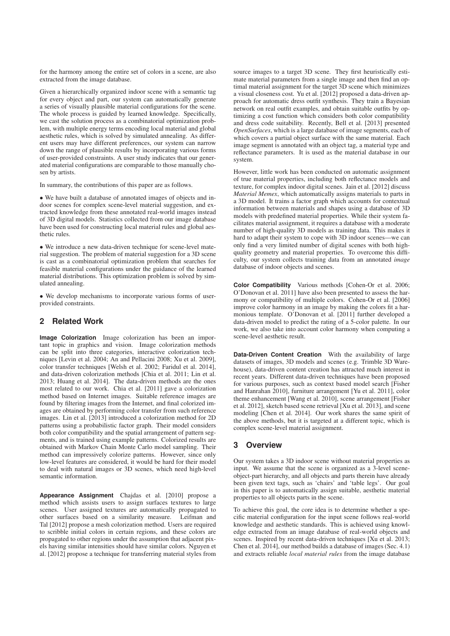for the harmony among the entire set of colors in a scene, are also extracted from the image database.

Given a hierarchically organized indoor scene with a semantic tag for every object and part, our system can automatically generate a series of visually plausible material configurations for the scene. The whole process is guided by learned knowledge. Specifically, we cast the solution process as a combinatorial optimization problem, with multiple energy terms encoding local material and global aesthetic rules, which is solved by simulated annealing. As different users may have different preferences, our system can narrow down the range of plausible results by incorporating various forms of user-provided constraints. A user study indicates that our generated material configurations are comparable to those manually chosen by artists.

In summary, the contributions of this paper are as follows.

• We have built a database of annotated images of objects and indoor scenes for complex scene-level material suggestion, and extracted knowledge from these annotated real-world images instead of 3D digital models. Statistics collected from our image database have been used for constructing local material rules and global aesthetic rules.

• We introduce a new data-driven technique for scene-level material suggestion. The problem of material suggestion for a 3D scene is cast as a combinatorial optimization problem that searches for feasible material configurations under the guidance of the learned material distributions. This optimization problem is solved by simulated annealing.

• We develop mechanisms to incorporate various forms of userprovided constraints.

# **2 Related Work**

**Image Colorization** Image colorization has been an important topic in graphics and vision. Image colorization methods can be split into three categories, interactive colorization techniques [Levin et al. 2004; An and Pellacini 2008; Xu et al. 2009], color transfer techniques [Welsh et al. 2002; Faridul et al. 2014], and data-driven colorization methods [Chia et al. 2011; Lin et al. 2013; Huang et al. 2014]. The data-driven methods are the ones most related to our work. Chia et al. [2011] gave a colorization method based on Internet images. Suitable reference images are found by filtering images from the Internet, and final colorized images are obtained by performing color transfer from such reference images. Lin et al. [2013] introduced a colorization method for 2D patterns using a probabilistic factor graph. Their model considers both color compatibility and the spatial arrangement of pattern segments, and is trained using example patterns. Colorized results are obtained with Markov Chain Monte Carlo model sampling. Their method can impressively colorize patterns. However, since only low-level features are considered, it would be hard for their model to deal with natural images or 3D scenes, which need high-level semantic information.

**Appearance Assignment** Chajdas et al. [2010] propose a method which assists users to assign surfaces textures to large scenes. User assigned textures are automatically propagated to other surfaces based on a similarity measure. Leifman and Tal [2012] propose a mesh colorization method. Users are required to scribble initial colors in certain regions, and these colors are propagated to other regions under the assumption that adjacent pixels having similar intensities should have similar colors. Nguyen et al. [2012] propose a technique for transferring material styles from

source images to a target 3D scene. They first heuristically estimate material parameters from a single image and then find an optimal material assignment for the target 3D scene which minimizes a visual closeness cost. Yu et al. [2012] proposed a data-driven approach for automatic dress outfit synthesis. They train a Bayesian network on real outfit examples, and obtain suitable outfits by optimizing a cost function which considers both color compatibility and dress code suitability. Recently, Bell et al. [2013] presented *OpenSurfaces*, which is a large database of image segments, each of which covers a partial object surface with the same material. Each image segment is annotated with an object tag, a material type and reflectance parameters. It is used as the material database in our system.

However, little work has been conducted on automatic assignment of true material properties, including both reflectance models and texture, for complex indoor digital scenes. Jain et al. [2012] discuss *Material Memex*, which automatically assigns materials to parts in a 3D model. It trains a factor graph which accounts for contextual information between materials and shapes using a database of 3D models with predefined material properties. While their system facilitates material assignment, it requires a database with a moderate number of high-quality 3D models as training data. This makes it hard to adapt their system to cope with 3D indoor scenes—we can only find a very limited number of digital scenes with both highquality geometry and material properties. To overcome this difficulty, our system collects training data from an annotated *image* database of indoor objects and scenes.

**Color Compatibility** Various methods [Cohen-Or et al. 2006; O'Donovan et al. 2011] have also been presented to assess the harmony or compatibility of multiple colors. Cohen-Or et al. [2006] improve color harmony in an image by making the colors fit a harmonious template. O'Donovan et al. [2011] further developed a data-driven model to predict the rating of a 5-color palette. In our work, we also take into account color harmony when computing a scene-level aesthetic result.

**Data-Driven Content Creation** With the availability of large datasets of images, 3D models and scenes (e.g. Trimble 3D Warehouse), data-driven content creation has attracted much interest in recent years. Different data-driven techniques have been proposed for various purposes, such as context based model search [Fisher and Hanrahan 2010], furniture arrangement [Yu et al. 2011], color theme enhancement [Wang et al. 2010], scene arrangement [Fisher et al. 2012], sketch based scene retrieval [Xu et al. 2013], and scene modeling [Chen et al. 2014]. Our work shares the same spirit of the above methods, but it is targeted at a different topic, which is complex scene-level material assignment.

# **3 Overview**

Our system takes a 3D indoor scene without material properties as input. We assume that the scene is organized as a 3-level sceneobject-part hierarchy, and all objects and parts therein have already been given text tags, such as 'chairs' and 'table legs'. Our goal in this paper is to automatically assign suitable, aesthetic material properties to all objects parts in the scene.

To achieve this goal, the core idea is to determine whether a specific material configuration for the input scene follows real-world knowledge and aesthetic standards. This is achieved using knowledge extracted from an image database of real-world objects and scenes. Inspired by recent data-driven techniques [Xu et al. 2013; Chen et al. 2014], our method builds a database of images (Sec. 4.1) and extracts reliable *local material rules* from the image database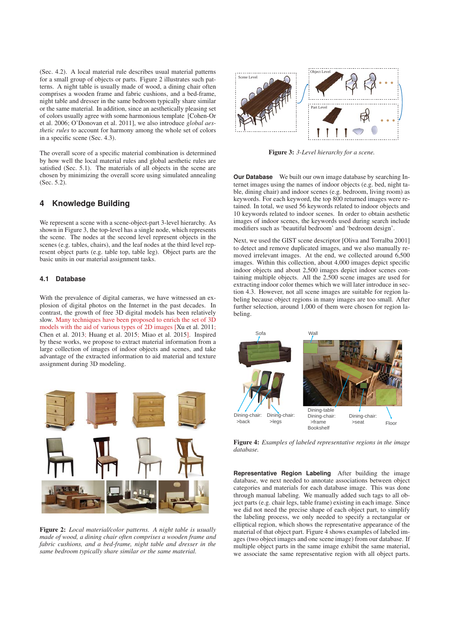(Sec. 4.2). A local material rule describes usual material patterns for a small group of objects or parts. Figure 2 illustrates such patterns. A night table is usually made of wood, a dining chair often comprises a wooden frame and fabric cushions, and a bed-frame, night table and dresser in the same bedroom typically share similar or the same material. In addition, since an aesthetically pleasing set of colors usually agree with some harmonious template [Cohen-Or et al. 2006; O'Donovan et al. 2011], we also introduce *global aesthetic rules* to account for harmony among the whole set of colors in a specific scene (Sec. 4.3).

The overall score of a specific material combination is determined by how well the local material rules and global aesthetic rules are satisfied (Sec. 5.1). The materials of all objects in the scene are chosen by minimizing the overall score using simulated annealing (Sec. 5.2).

# **4 Knowledge Building**

We represent a scene with a scene-object-part 3-level hierarchy. As shown in Figure 3, the top-level has a single node, which represents the scene. The nodes at the second level represent objects in the scenes (e.g. tables, chairs), and the leaf nodes at the third level represent object parts (e.g. table top, table leg). Object parts are the basic units in our material assignment tasks.

#### **4.1 Database**

With the prevalence of digital cameras, we have witnessed an explosion of digital photos on the Internet in the past decades. In contrast, the growth of free 3D digital models has been relatively slow. Many techniques have been proposed to enrich the set of 3D models with the aid of various types of 2D images [Xu et al. 2011; Chen et al. 2013; Huang et al. 2015; Miao et al. 2015]. Inspired by these works, we propose to extract material information from a large collection of images of indoor objects and scenes, and take advantage of the extracted information to aid material and texture assignment during 3D modeling.



Figure 2: *Local material/color patterns. A night table is usually made of wood, a dining chair often comprises a wooden frame and fabric cushions, and a bed-frame, night table and dresser in the same bedroom typically share similar or the same material.*



Figure 3: *3-Level hierarchy for a scene.*

**Our Database** We built our own image database by searching Internet images using the names of indoor objects (e.g. bed, night table, dining chair) and indoor scenes (e.g. bedroom, living room) as keywords. For each keyword, the top 800 returned images were retained. In total, we used 56 keywords related to indoor objects and 10 keywords related to indoor scenes. In order to obtain aesthetic images of indoor scenes, the keywords used during search include modifiers such as 'beautiful bedroom' and 'bedroom design'.

Next, we used the GIST scene descriptor [Oliva and Torralba 2001] to detect and remove duplicated images, and we also manually removed irrelevant images. At the end, we collected around 6,500 images. Within this collection, about 4,000 images depict specific indoor objects and about 2,500 images depict indoor scenes containing multiple objects. All the 2,500 scene images are used for extracting indoor color themes which we will later introduce in section 4.3. However, not all scene images are suitable for region labeling because object regions in many images are too small. After further selection, around 1,000 of them were chosen for region labeling.



Figure 4: *Examples of labeled representative regions in the image database.*

**Representative Region Labeling** After building the image database, we next needed to annotate associations between object categories and materials for each database image. This was done through manual labeling. We manually added such tags to all object parts (e.g. chair legs, table frame) existing in each image. Since we did not need the precise shape of each object part, to simplify the labeling process, we only needed to specify a rectangular or elliptical region, which shows the representative appearance of the material of that object part. Figure 4 shows examples of labeled images (two object images and one scene image) from our database. If multiple object parts in the same image exhibit the same material, we associate the same representative region with all object parts.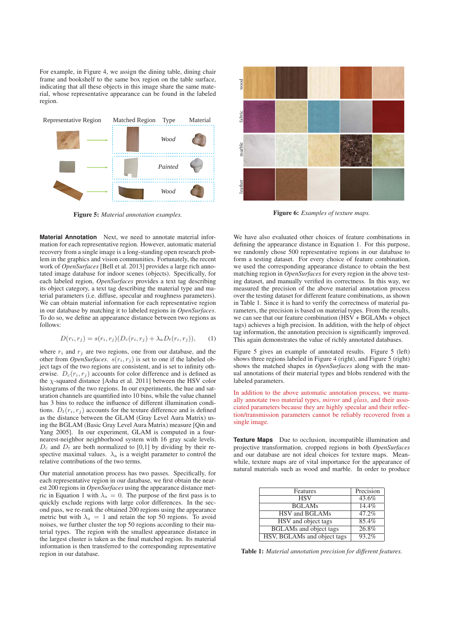For example, in Figure 4, we assign the dining table, dining chair frame and bookshelf to the same box region on the table surface, indicating that all these objects in this image share the same material, whose representative appearance can be found in the labeled region.



Figure 5: *Material annotation examples.*

**Material Annotation** Next, we need to annotate material information for each representative region. However, automatic material recovery from a single image is a long-standing open research problem in the graphics and vision communities. Fortunately, the recent work of *OpenSurfaces* [Bell et al. 2013] provides a large rich annotated image database for indoor scenes (objects). Specifically, for each labeled region, *OpenSurfaces* provides a text tag describing its object category, a text tag describing the material type and material parameters (i.e. diffuse, specular and roughness parameters). We can obtain material information for each representative region in our database by matching it to labeled regions in *OpenSurfaces*. To do so, we define an appearance distance between two regions as follows:

$$
D(r_i, r_j) = s(r_i, r_j)(D_c(r_i, r_j) + \lambda_a D_t(r_i, r_j)),
$$
 (1)

where  $r_i$  and  $r_j$  are two regions, one from our database, and the other from *OpenSurfaces*.  $s(r_i, r_j)$  is set to one if the labeled object tags of the two regions are consistent, and is set to infinity otherwise.  $D_c(r_i, r_j)$  accounts for color difference and is defined as the  $\chi$ -squared distance [Asha et al. 2011] between the HSV color histograms of the two regions. In our experiments, the hue and saturation channels are quantified into 10 bins, while the value channel has 3 bins to reduce the influence of different illumination conditions.  $D_t(r_i, r_j)$  accounts for the texture difference and is defined as the distance between the GLAM (Gray Level Aura Matrix) using the BGLAM (Basic Gray Level Aura Matrix) measure [Qin and Yang 2005]. In our experiment, GLAM is computed in a fournearest-neighbor neighborhood system with 16 gray scale levels.  $D_c$  and  $D_t$  are both normalized to [0,1] by dividing by their respective maximal values.  $\lambda_a$  is a weight parameter to control the relative contributions of the two terms.

Our material annotation process has two passes. Specifically, for each representative region in our database, we first obtain the nearest 200 regions in *OpenSurfaces* using the appearance distance metric in Equation 1 with  $\lambda_a = 0$ . The purpose of the first pass is to quickly exclude regions with large color differences. In the second pass, we re-rank the obtained 200 regions using the appearance metric but with  $\lambda_a = 1$  and retain the top 50 regions. To avoid noises, we further cluster the top 50 regions according to their material types. The region with the smallest appearance distance in the largest cluster is taken as the final matched region. Its material information is then transferred to the corresponding representative region in our database.



Figure 6: *Examples of texture maps.*

We have also evaluated other choices of feature combinations in defining the appearance distance in Equation 1. For this purpose, we randomly chose 500 representative regions in our database to form a testing dataset. For every choice of feature combination, we used the corresponding appearance distance to obtain the best matching region in *OpenSurfaces* for every region in the above testing dataset, and manually verified its correctness. In this way, we measured the precision of the above material annotation process over the testing dataset for different feature combinations, as shown in Table 1. Since it is hard to verify the correctness of material parameters, the precision is based on material types. From the results, we can see that our feature combination (HSV + BGLAMs + object tags) achieves a high precision. In addition, with the help of object tag information, the annotation precision is significantly improved. This again demonstrates the value of richly annotated databases.

Figure 5 gives an example of annotated results. Figure 5 (left) shows three regions labeled in Figure 4 (right), and Figure 5 (right) shows the matched shapes in *OpenSurfaces* along with the manual annotations of their material types and blobs rendered with the labeled parameters.

In addition to the above automatic annotation process, we manually annotate two material types, *mirror* and *glass*, and their associated parameters because they are highly specular and their reflection/transmission parameters cannot be reliably recovered from a single image.

**Texture Maps** Due to occlusion, incompatible illumination and projective transformation, cropped regions in both *OpenSurfaces* and our database are not ideal choices for texture maps. Meanwhile, texture maps are of vital importance for the appearance of natural materials such as wood and marble. In order to produce

| Features                      | Precision           |
|-------------------------------|---------------------|
| <b>HSV</b>                    | 43.6%               |
| <b>BGLAMs</b>                 | 14.4%               |
| HSV and BGLAMs                | $47.\overline{2\%}$ |
| HSV and object tags           | 85.4%               |
| <b>BGLAMs</b> and object tags | 26.8%               |
| HSV, BGLAMs and object tags   | 93.2%               |

Table 1: *Material annotation precision for different features.*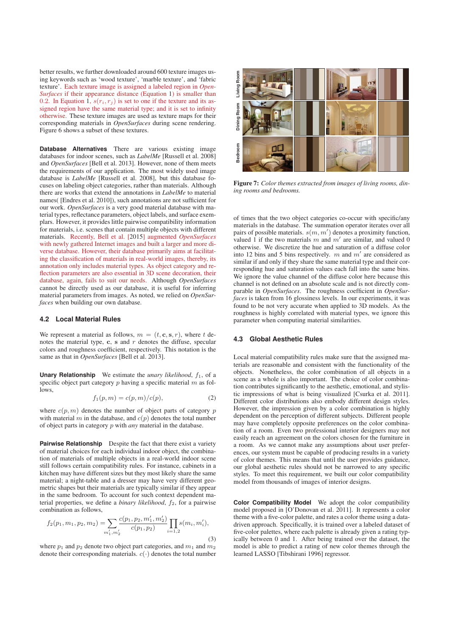better results, we further downloaded around 600 texture images using keywords such as 'wood texture', 'marble texture', and 'fabric texture'. Each texture image is assigned a labeled region in *Open-Surfaces* if their appearance distance (Equation 1) is smaller than 0.2. In Equation 1,  $s(r_i, r_j)$  is set to one if the texture and its assigned region have the same material type; and it is set to infinity otherwise. These texture images are used as texture maps for their corresponding materials in *OpenSurfaces* during scene rendering. Figure 6 shows a subset of these textures.

**Database Alternatives** There are various existing image databases for indoor scenes, such as *LabelMe* [Russell et al. 2008] and *OpenSurfaces* [Bell et al. 2013]. However, none of them meets the requirements of our application. The most widely used image database is *LabelMe* [Russell et al. 2008], but this database focuses on labeling object categories, rather than materials. Although there are works that extend the annotations in *LabelMe* to material names( [Endres et al. 2010]), such annotations are not sufficient for our work. *OpenSurfaces* is a very good material database with material types, reflectance parameters, object labels, and surface exemplars. However, it provides little pairwise compatibility information for materials, i.e. scenes that contain multiple objects with different materials. Recently, Bell et al. [2015] augmented *OpenSurfaces* with newly gathered Internet images and built a larger and more diverse database. However, their database primarily aims at facilitating the classification of materials in real-world images, thereby, its annotation only includes material types. As object category and reflection parameters are also essential in 3D scene decoration, their database, again, fails to suit our needs. Although *OpenSurfaces* cannot be directly used as our database, it is useful for inferring material parameters from images. As noted, we relied on *OpenSurfaces* when building our own database.

### **4.2 Local Material Rules**

We represent a material as follows,  $m = (t, \mathbf{c}, \mathbf{s}, r)$ , where t denotes the material type, **c**, **s** and *r* denotes the diffuse, specular colors and roughness coefficient, respectively. This notation is the same as that in *OpenSurfaces* [Bell et al. 2013].

**Unary Relationship** We estimate the *unary likelihood*,  $f_1$ , of a specific object part category  $p$  having a specific material  $m$  as follows,

$$
f_1(p,m) = c(p,m)/c(p),\tag{2}
$$

where  $c(p, m)$  denotes the number of object parts of category p with material m in the database, and  $c(p)$  denotes the total number of object parts in category p with *any* material in the database.

**Pairwise Relationship** Despite the fact that there exist a variety of material choices for each individual indoor object, the combination of materials of multiple objects in a real-world indoor scene still follows certain compatibility rules. For instance, cabinets in a kitchen may have different sizes but they most likely share the same material; a night-table and a dresser may have very different geometric shapes but their materials are typically similar if they appear in the same bedroom. To account for such context dependent material properties, we define a *binary likelihood*,  $f_2$ , for a pairwise combination as follows,

$$
f_2(p_1, m_1, p_2, m_2) = \sum_{m'_1, m'_2} \frac{c(p_1, p_2, m'_1, m'_2)}{c(p_1, p_2)} \prod_{i=1,2} s(m_i, m'_i),
$$
\n(3)

where  $p_1$  and  $p_2$  denote two object part categories, and  $m_1$  and  $m_2$ denote their corresponding materials.  $c(\cdot)$  denotes the total number



Figure 7: *Color themes extracted from images of living rooms, dining rooms and bedrooms.*

of times that the two object categories co-occur with specific/any materials in the database. The summation operator iterates over all pairs of possible materials.  $s(m, m')$  denotes a proximity function, valued 1 if the two materials m and m' are similar and valued 0 valued 1 if the two materials m and  $m'$  are similar, and valued 0 otherwise. We discretize the hue and saturation of a diffuse color into 12 bins and 5 bins respectively. m and  $m'$  are considered as similar if and only if they share the same material type and their corresponding hue and saturation values each fall into the same bins. We ignore the value channel of the diffuse color here because this channel is not defined on an absolute scale and is not directly comparable in *OpenSurfaces*. The roughness coefficient in *OpenSurfaces* is taken from 16 glossiness levels. In our experiments, it was found to be not very accurate when applied to 3D models. As the roughness is highly correlated with material types, we ignore this parameter when computing material similarities.

#### **4.3 Global Aesthetic Rules**

Local material compatibility rules make sure that the assigned materials are reasonable and consistent with the functionality of the objects. Nonetheless, the color combination of all objects in a scene as a whole is also important. The choice of color combination contributes significantly to the aesthetic, emotional, and stylistic impressions of what is being visualized [Csurka et al. 2011]. Different color distributions also embody different design styles. However, the impression given by a color combination is highly dependent on the perception of different subjects. Different people may have completely opposite preferences on the color combination of a room. Even two professional interior designers may not easily reach an agreement on the colors chosen for the furniture in a room. As we cannot make any assumptions about user preferences, our system must be capable of producing results in a variety of color themes. This means that until the user provides guidance, our global aesthetic rules should not be narrowed to any specific styles. To meet this requirement, we built our color compatibility model from thousands of images of interior designs.

**Color Compatibility Model** We adopt the color compatibility model proposed in [O'Donovan et al. 2011]. It represents a color theme with a five-color palette, and rates a color theme using a datadriven approach. Specifically, it is trained over a labeled dataset of five-color palettes, where each palette is already given a rating typically between 0 and 1. After being trained over the dataset, the model is able to predict a rating of new color themes through the learned LASSO [Tibshirani 1996] regressor.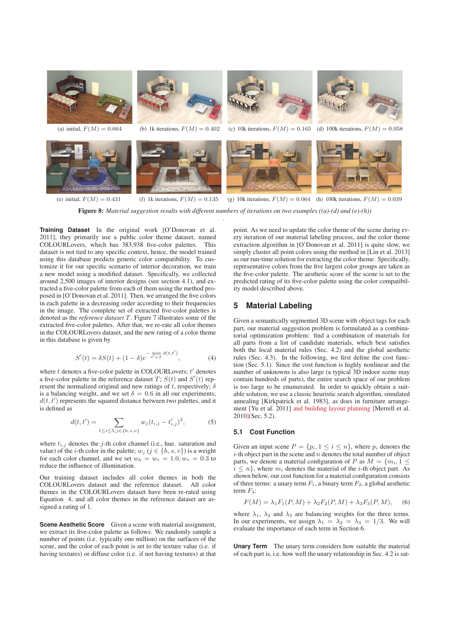

Figure 8: *Material suggestion results with different numbers of iterations on two examples ((a)-(d) and (e)-(h))*

.

**Training Dataset** In the original work [O'Donovan et al. 2011], they primarily use a public color theme dataset, named COLOURLovers, which has 383,938 five-color palettes. This dataset is not tied to any specific context, hence, the model trained using this database predicts generic color compatibility. To customize it for our specific scenario of interior decoration, we train a new model using a modified dataset. Specifically, we collected around 2,500 images of interior designs (see section 4.1), and extracted a five-color palette from each of them using the method proposed in [O'Donovan et al. 2011]. Then, we arranged the five colors in each palette in a decreasing order according to their frequencies in the image. The complete set of extracted five-color palettes is denoted as the *reference dataset* T. Figure 7 illustrates some of the extracted five-color palettes. After that, we re-rate all color themes in the COLOURLovers dataset, and the new rating of a color theme in this database is given by

$$
S'(t) = \delta S(t) + (1 - \delta)e^{-\min_{t' \in T} d(t, t')}, \tag{4}
$$

where  $t$  denotes a five-color palette in COLOURLovers;  $t'$  denotes a five-color palette in the reference dataset  $T$ ;  $S(t)$  and  $S'(t)$  rep-<br>resent the normalized original and new ratings of t, respectively:  $\delta$ resent the normalized original and new ratings of t, respectively;  $\delta$ is a balancing weight, and we set  $\delta = 0.6$  in all our experiments;  $d(t, t')$  represents the squared distance between two palettes, and it is defined as is defined as

$$
d(t, t') = \sum_{1 \le i \le 5, j \in \{h, s, v\}} w_j (t_{i, j} - t'_{i, j})^2,
$$
 (5)

where  $t_{i,j}$  denotes the j-th color channel (i.e., hue. saturation and value) of the *i*-th color in the palette;  $w_i$  ( $j \in \{h, s, v\}$ ) is a weight for each color channel, and we set  $w_h = w_s = 1.0, w_v = 0.3$  to reduce the influence of illumination.

Our training dataset includes all color themes in both the COLOURLovers dataset and the reference dataset. All color themes in the COLOURLovers dataset have been re-rated using Equation 4, and all color themes in the reference dataset are assigned a rating of 1.

**Scene Aesthetic Score** Given a scene with material assignment, we extract its five-color palette as follows. We randomly sample a number of points (i.e. typically one million) on the surfaces of the scene, and the color of each point is set to the texture value (i.e. if having textures) or diffuse color (i.e. if not having textures) at that

point. As we need to update the color theme of the scene during every iteration of our material labeling process, and the color theme extraction algorithm in [O'Donovan et al. 2011] is quite slow, we simply cluster all point colors using the method in [Lin et al. 2013] as our run-time solution for extracting the color theme. Specifically, representative colors from the five largest color groups are taken as the five-color palette. The aesthetic score of the scene is set to the predicted rating of its five-color palette using the color compatibility model described above.

# **5 Material Labeling**

Given a semantically segmented 3D scene with object tags for each part, our material suggestion problem is formulated as a combinatorial optimization problem: find a combination of materials for all parts from a list of candidate materials, which best satisfies both the local material rules (Sec. 4.2) and the global aesthetic rules (Sec. 4.3). In the following, we first define the cost function (Sec. 5.1). Since the cost function is highly nonlinear and the number of unknowns is also large (a typical 3D indoor scene may contain hundreds of parts), the entire search space of our problem is too large to be enumerated. In order to quickly obtain a suitable solution, we use a classic heuristic search algorithm, simulated annealing [Kirkpatrick et al. 1983], as does in furniture arrangement [Yu et al. 2011] and building layout planning [Merrell et al. 2010](Sec. 5.2).

#### **5.1 Cost Function**

Given an input scene  $P = \{p_i, 1 \le i \le n\}$ , where  $p_i$  denotes the  $i$ -th object part in the scene and  $n$  denotes the total number of object parts, we denote a material configuration of P as  $M = \{m_i, 1 \leq$  $i \leq n$ , where  $m_i$  denotes the material of the *i*-th object part. As shown below, our cost function for a material configuration consists of three terms: a unary term  $F_1$ , a binary term  $F_2$ , a global aesthetic term  $F_3$ :

$$
F(M) = \lambda_1 F_1(P, M) + \lambda_2 F_2(P, M) + \lambda_3 F_3(P, M), \quad (6)
$$

where  $\lambda_1$ ,  $\lambda_2$  and  $\lambda_3$  are balancing weights for the three terms. In our experiments, we assign  $\lambda_1 = \lambda_2 = \lambda_3 = 1/3$ . We will evaluate the importance of each term in Section 6.

**Unary Term** The unary term considers how suitable the material of each part is, i.e. how well the unary relationship in Sec. 4.2 is sat-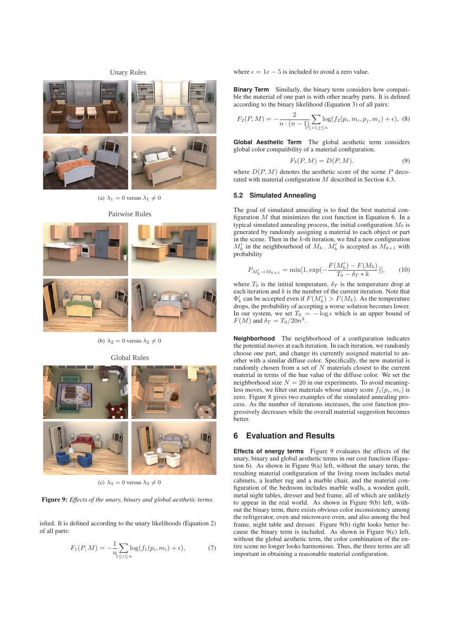# Unary Rules



(a)  $\lambda_1 = 0$  versus  $\lambda_1 \neq 0$ 



(b)  $\lambda_2 = 0$  versus  $\lambda_2 \neq 0$ 

Global Rules



(c)  $\lambda_3 = 0$  versus  $\lambda_3 \neq 0$ 

Figure 9: *Effects of the unary, binary and global aesthetic terms.*

isfied. It is defined according to the unary likelihoods (Equation 2) of all parts:

$$
F_1(P, M) = -\frac{1}{n} \sum_{1 \le i \le n} \log(f_1(p_i, m_i) + \epsilon), \tag{7}
$$

where  $\epsilon = 1e - 5$  is included to avoid a zero value.

**Binary Term** Similarly, the binary term considers how compatible the material of one part is with other nearby parts. It is defined according to the binary likelihood (Equation 3) of all pairs:

$$
F_2(P, M) = -\frac{2}{n \cdot (n-1)} \sum_{i < j \le n} \log(f_2(p_i, m_i, p_j, m_j) + \epsilon), \tag{8}
$$

**Global Aesthetic Term** The global aesthetic term considers global color compatibility of a material configuration.

$$
F_3(P, M) = D(P, M). \tag{9}
$$

where  $D(P, M)$  denotes the aesthetic score of the scene P decorated with material configuration M described in Section 4.3.

### **5.2 Simulated Annealing**

The goal of simulated annealing is to find the best material configuration  $M$  that minimizes the cost function in Equation 6. In a typical simulated annealing process, the initial configuration  $M_0$  is generated by randomly assigning a material to each object or part in the scene. Then in the k-th iteration, we find a new configuration  $M'_k$  in the neighbourhood of  $M_k$ .  $M'_k$  is accepted as  $M_{k+1}$  with probability

$$
P_{M'_{k} \to M_{k+1}} = \min[1, \exp(-\frac{F(M'_{k}) - F(M_{k})}{T_{0} - \delta_{T} * k})], \quad (10)
$$

where  $T_0$  is the initial temperature,  $\delta_T$  is the temperature drop at each iteration and  $k$  is the number of the current iteration. Note that  $\Phi'_k$  can be accepted even if  $F(M'_k) > F(M_k)$ . As the temperature drops the probability of accepting a worse solution becomes lower drops, the probability of accepting a worse solution becomes lower. In our system, we set  $T_0 = -\log \epsilon$  which is an upper bound of  $F(M)$  and  $\delta_T = T_0/20n^2$  $F(M)$  and  $\delta_T = T_0/20n^2$ .

**Neighborhood** The neighborhood of a configuration indicates the potential moves at each iteration. In each iteration, we randomly choose one part, and change its currently assigned material to another with a similar diffuse color. Specifically, the new material is randomly chosen from a set of  $N$  materials closest to the current material in terms of the hue value of the diffuse color. We set the neighborhood size  $N = 20$  in our experiments. To avoid meaningless moves, we filter out materials whose unary score  $f_1(p_i, m_i)$  is zero. Figure 8 gives two examples of the simulated annealing process. As the number of iterations increases, the cost function progressively decreases while the overall material suggestion becomes better.

### **6 Evaluation and Results**

**Effects of energy terms** Figure 9 evaluates the effects of the unary, binary and global aesthetic terms in our cost function (Equation 6). As shown in Figure 9(a) left, without the unary term, the resulting material configuration of the living room includes metal cabinets, a leather rug and a marble chair, and the material configuration of the bedroom includes marble walls, a wooden quilt, metal night tables, dresser and bed frame, all of which are unlikely to appear in the real world. As shown in Figure 9(b) left, without the binary term, there exists obvious color inconsistency among the refrigerator, oven and microwave oven, and also among the bed frame, night table and dresser. Figure 9(b) right looks better because the binary term is included. As shown in Figure 9(c) left, without the global aesthetic term, the color combination of the entire scene no longer looks harmonious. Thus, the three terms are all important in obtaining a reasonable material configuration.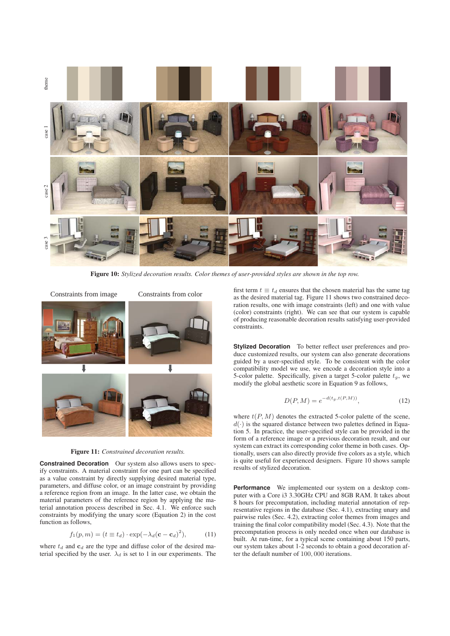

Figure 10: *Stylized decoration results. Color themes of user-provided styles are shown in the top row.*



Figure 11: *Constrained decoration results.*

**Constrained Decoration** Our system also allows users to specify constraints. A material constraint for one part can be specified as a value constraint by directly supplying desired material type, parameters, and diffuse color, or an image constraint by providing a reference region from an image. In the latter case, we obtain the material parameters of the reference region by applying the material annotation process described in Sec. 4.1. We enforce such constraints by modifying the unary score (Equation 2) in the cost function as follows,

$$
f_1(p,m) = (t \equiv t_d) \cdot \exp(-\lambda_d(\mathbf{c} - \mathbf{c}_d)^2), \quad (11)
$$

where  $t_d$  and  $c_d$  are the type and diffuse color of the desired material specified by the user.  $\lambda_d$  is set to 1 in our experiments. The

first term  $t \equiv t_d$  ensures that the chosen material has the same tag as the desired material tag. Figure 11 shows two constrained decoration results, one with image constraints (left) and one with value (color) constraints (right). We can see that our system is capable of producing reasonable decoration results satisfying user-provided constraints.

**Stylized Decoration** To better reflect user preferences and produce customized results, our system can also generate decorations guided by a user-specified style. To be consistent with the color compatibility model we use, we encode a decoration style into a 5-color palette. Specifically, given a target 5-color palette  $t<sub>g</sub>$ , we modify the global aesthetic score in Equation 9 as follows,

$$
D(P, M) = e^{-d(t_g, t(P, M))},
$$
\n(12)

where  $t(P, M)$  denotes the extracted 5-color palette of the scene,  $d(\cdot)$  is the squared distance between two palettes defined in Equation 5. In practice, the user-specified style can be provided in the form of a reference image or a previous decoration result, and our system can extract its corresponding color theme in both cases. Optionally, users can also directly provide five colors as a style, which is quite useful for experienced designers. Figure 10 shows sample results of stylized decoration.

**Performance** We implemented our system on a desktop computer with a Core i3 3.30GHz CPU and 8GB RAM. It takes about 8 hours for precomputation, including material annotation of representative regions in the database (Sec. 4.1), extracting unary and pairwise rules (Sec. 4.2), extracting color themes from images and training the final color compatibility model (Sec. 4.3). Note that the precomputation process is only needed once when our database is built. At run-time, for a typical scene containing about 150 parts, our system takes about 1-2 seconds to obtain a good decoration after the default number of 100, 000 iterations.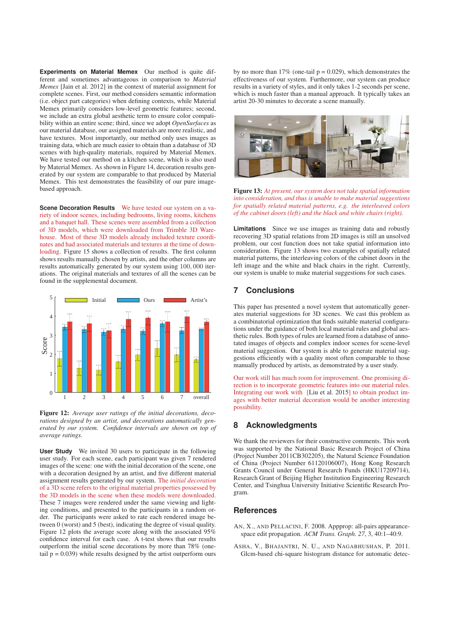**Experiments on Material Memex** Our method is quite different and sometimes advantageous in comparison to *Material Memex* [Jain et al. 2012] in the context of material assignment for complete scenes. First, our method considers semantic information (i.e. object part categories) when defining contexts, while Material Memex primarily considers low-level geometric features; second, we include an extra global aesthetic term to ensure color compatibility within an entire scene; third, since we adopt *OpenSurfaces* as our material database, our assigned materials are more realistic, and have textures. Most importantly, our method only uses images as training data, which are much easier to obtain than a database of 3D scenes with high-quality materials, required by Material Memex. We have tested our method on a kitchen scene, which is also used by Material Memex. As shown in Figure 14, decoration results generated by our system are comparable to that produced by Material Memex. This test demonstrates the feasibility of our pure imagebased approach.

**Scene Decoration Results** We have tested our system on a variety of indoor scenes, including bedrooms, living rooms, kitchens and a banquet hall. These scenes were assembled from a collection of 3D models, which were downloaded from Trimble 3D Warehouse. Most of these 3D models already included texture coordinates and had associated materials and textures at the time of downloading. Figure 15 shows a collection of results. The first column shows results manually chosen by artists, and the other columns are results automatically generated by our system using 100, 000 iterations. The original materials and textures of all the scenes can be found in the supplemental document.



Figure 12: *Average user ratings of the initial decorations, decorations designed by an artist, and decorations automatically generated by our system. Confidence intervals are shown on top of average ratings.*

**User Study** We invited 30 users to participate in the following user study. For each scene, each participant was given 7 rendered images of the scene: one with the initial decoration of the scene, one with a decoration designed by an artist, and five different material assignment results generated by our system. The *initial decoration* of a 3D scene refers to the original material properties possessed by the 3D models in the scene when these models were downloaded. These 7 images were rendered under the same viewing and lighting conditions, and presented to the participants in a random order. The participants were asked to rate each rendered image between 0 (worst) and 5 (best), indicating the degree of visual quality. Figure 12 plots the average score along with the associated 95% confidence interval for each case. A t-test shows that our results outperform the initial scene decorations by more than 78% (onetail  $p = 0.039$ ) while results designed by the artist outperform ours

by no more than  $17\%$  (one-tail  $p = 0.029$ ), which demonstrates the effectiveness of our system. Furthermore, our system can produce results in a variety of styles, and it only takes 1-2 seconds per scene, which is much faster than a manual approach. It typically takes an artist 20-30 minutes to decorate a scene manually.



Figure 13: *At present, our system does not take spatial information into consideration, and thus is unable to make material suggestions for spatially related material patterns, e.g. the interleaved colors of the cabinet doors (left) and the black and white chairs (right).*

**Limitations** Since we use images as training data and robustly recovering 3D spatial relations from 2D images is still an unsolved problem, our cost function does not take spatial information into consideration. Figure 13 shows two examples of spatially related material patterns, the interleaving colors of the cabinet doors in the left image and the white and black chairs in the right. Currently, our system is unable to make material suggestions for such cases.

# **7 Conclusions**

This paper has presented a novel system that automatically generates material suggestions for 3D scenes. We cast this problem as a combinatorial optimization that finds suitable material configurations under the guidance of both local material rules and global aesthetic rules. Both types of rules are learned from a database of annotated images of objects and complex indoor scenes for scene-level material suggestion. Our system is able to generate material suggestions efficiently with a quality most often comparable to those manually produced by artists, as demonstrated by a user study.

Our work still has much room for improvement. One promising direction is to incorporate geometric features into our material rules. Integrating our work with [Liu et al. 2015] to obtain product images with better material decoration would be another interesting possibility.

# **8 Acknowledgments**

We thank the reviewers for their constructive comments. This work was supported by the National Basic Research Project of China (Project Number 2011CB302205), the Natural Science Foundation of China (Project Number 61120106007), Hong Kong Research Grants Council under General Research Funds (HKU17209714), Research Grant of Beijing Higher Institution Engineering Research Center, and Tsinghua University Initiative Scientific Research Program.

### **References**

- AN, X., AND PELLACINI, F. 2008. Appprop: all-pairs appearancespace edit propagation. *ACM Trans. Graph. 27*, 3, 40:1–40:9.
- ASHA, V., BHAJANTRI, N. U., AND NAGABHUSHAN, P. 2011. Glcm-based chi-square histogram distance for automatic detec-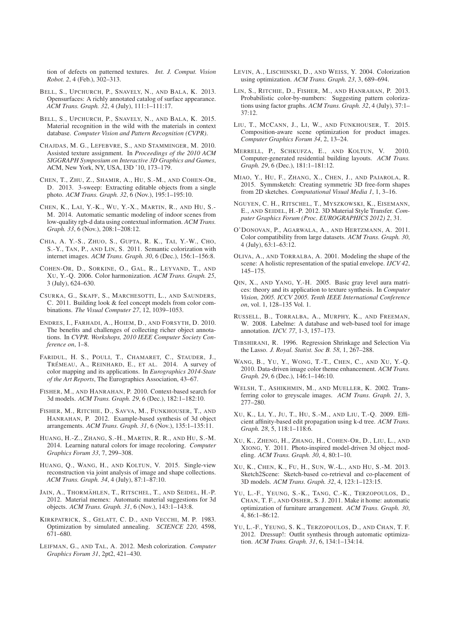tion of defects on patterned textures. *Int. J. Comput. Vision Robot. 2*, 4 (Feb.), 302–313.

- BELL, S., UPCHURCH, P., SNAVELY, N., AND BALA, K. 2013. Opensurfaces: A richly annotated catalog of surface appearance. *ACM Trans. Graph. 32*, 4 (July), 111:1–111:17.
- BELL, S., UPCHURCH, P., SNAVELY, N., AND BALA, K. 2015. Material recognition in the wild with the materials in context database. *Computer Vision and Pattern Recognition (CVPR)*.
- CHAJDAS, M. G., LEFEBVRE, S., AND STAMMINGER, M. 2010. Assisted texture assignment. In *Proceedings of the 2010 ACM SIGGRAPH Symposium on Interactive 3D Graphics and Games*, ACM, New York, NY, USA, I3D '10, 173–179.
- CHEN, T., ZHU, Z., SHAMIR, A., HU, S.-M., AND COHEN-OR, D. 2013. 3-sweep: Extracting editable objects from a single photo. *ACM Trans. Graph. 32*, 6 (Nov.), 195:1–195:10.
- CHEN, K., LAI, Y.-K., WU, Y.-X., MARTIN, R., AND HU, S.- M. 2014. Automatic semantic modeling of indoor scenes from low-quality rgb-d data using contextual information. *ACM Trans. Graph. 33*, 6 (Nov.), 208:1–208:12.
- CHIA, A. Y.-S., ZHUO, S., GUPTA, R. K., TAI, Y.-W., CHO, S.-Y., TAN, P., AND LIN, S. 2011. Semantic colorization with internet images. *ACM Trans. Graph. 30*, 6 (Dec.), 156:1–156:8.
- COHEN-OR, D., SORKINE, O., GAL, R., LEYVAND, T., AND XU, Y.-Q. 2006. Color harmonization. *ACM Trans. Graph. 25*, 3 (July), 624–630.
- CSURKA, G., SKAFF, S., MARCHESOTTI, L., AND SAUNDERS, C. 2011. Building look & feel concept models from color combinations. *The Visual Computer 27*, 12, 1039–1053.
- ENDRES, I., FARHADI, A., HOIEM, D., AND FORSYTH, D. 2010. The benefits and challenges of collecting richer object annotations. In *CVPR. Workshops, 2010 IEEE Computer Society Conference on*, 1–8.
- FARIDUL, H. S., POULI, T., CHAMARET, C., STAUDER, J., TRÉMEAU, A., REINHARD, E., ET AL. 2014. A survey of color mapping and its applications. In *Eurographics 2014-State of the Art Reports*, The Eurographics Association, 43–67.
- FISHER, M., AND HANRAHAN, P. 2010. Context-based search for 3d models. *ACM Trans. Graph. 29*, 6 (Dec.), 182:1–182:10.
- FISHER, M., RITCHIE, D., SAVVA, M., FUNKHOUSER, T., AND HANRAHAN, P. 2012. Example-based synthesis of 3d object arrangements. *ACM Trans. Graph. 31*, 6 (Nov.), 135:1–135:11.
- HUANG, H.-Z., ZHANG, S.-H., MARTIN, R. R., AND HU, S.-M. 2014. Learning natural colors for image recoloring. *Computer Graphics Forum 33*, 7, 299–308.
- HUANG, Q., WANG, H., AND KOLTUN, V. 2015. Single-view reconstruction via joint analysis of image and shape collections. *ACM Trans. Graph. 34*, 4 (July), 87:1–87:10.
- JAIN, A., THORMÄHLEN, T., RITSCHEL, T., AND SEIDEL, H.-P. 2012. Material memex: Automatic material suggestions for 3d objects. *ACM Trans. Graph. 31*, 6 (Nov.), 143:1–143:8.
- KIRKPATRICK, S., GELATT, C. D., AND VECCHI, M. P. 1983. Optimization by simulated annealing. *SCIENCE 220*, 4598, 671–680.
- LEIFMAN, G., AND TAL, A. 2012. Mesh colorization. *Computer Graphics Forum 31*, 2pt2, 421–430.
- LEVIN, A., LISCHINSKI, D., AND WEISS, Y. 2004. Colorization using optimization. *ACM Trans. Graph. 23*, 3, 689–694.
- LIN, S., RITCHIE, D., FISHER, M., AND HANRAHAN, P. 2013. Probabilistic color-by-numbers: Suggesting pattern colorizations using factor graphs. *ACM Trans. Graph. 32*, 4 (July), 37:1– 37:12.
- LIU, T., MCCANN, J., LI, W., AND FUNKHOUSER, T. 2015. Composition-aware scene optimization for product images. *Computer Graphics Forum 34*, 2, 13–24.
- MERRELL, P., SCHKUFZA, E., AND KOLTUN, V. 2010. Computer-generated residential building layouts. *ACM Trans. Graph. 29*, 6 (Dec.), 181:1–181:12.
- MIAO, Y., HU, F., ZHANG, X., CHEN, J., AND PAJAROLA, R. 2015. Symmsketch: Creating symmetric 3D free-form shapes from 2D sketches. *Computational Visual Media 1*, 1, 3–16.
- NGUYEN, C. H., RITSCHEL, T., MYSZKOWSKI, K., EISEMANN, E., AND SEIDEL, H.-P. 2012. 3D Material Style Transfer. *Computer Graphics Forum (Proc. EUROGRAPHICS 2012) 2*, 31.
- O'DONOVAN, P., AGARWALA, A., AND HERTZMANN, A. 2011. Color compatibility from large datasets. *ACM Trans. Graph. 30*, 4 (July), 63:1–63:12.
- OLIVA, A., AND TORRALBA, A. 2001. Modeling the shape of the scene: A holistic representation of the spatial envelope. *IJCV 42*, 145–175.
- QIN, X., AND YANG, Y.-H. 2005. Basic gray level aura matrices: theory and its application to texture synthesis. In *Computer Vision, 2005. ICCV 2005. Tenth IEEE International Conference on*, vol. 1, 128–135 Vol. 1.
- RUSSELL, B., TORRALBA, A., MURPHY, K., AND FREEMAN, W. 2008. Labelme: A database and web-based tool for image annotation. *IJCV. 77*, 1-3, 157–173.
- TIBSHIRANI, R. 1996. Regression Shrinkage and Selection Via the Lasso. *J. Royal. Statist. Soc B. 58*, 1, 267–288.
- WANG, B., YU, Y., WONG, T.-T., CHEN, C., AND XU, Y.-Q. 2010. Data-driven image color theme enhancement. *ACM Trans. Graph. 29*, 6 (Dec.), 146:1–146:10.
- WELSH, T., ASHIKHMIN, M., AND MUELLER, K. 2002. Transferring color to greyscale images. *ACM Trans. Graph. 21*, 3, 277–280.
- XU, K., LI, Y., JU, T., HU, S.-M., AND LIU, T.-Q. 2009. Efficient affinity-based edit propagation using k-d tree. *ACM Trans. Graph. 28*, 5, 118:1–118:6.
- XU, K., ZHENG, H., ZHANG, H., COHEN-OR, D., LIU, L., AND XIONG, Y. 2011. Photo-inspired model-driven 3d object modeling. *ACM Trans. Graph. 30*, 4, 80:1–10.
- XU, K., CHEN, K., FU, H., SUN, W.-L., AND HU, S.-M. 2013. Sketch2Scene: Sketch-based co-retrieval and co-placement of 3D models. *ACM Trans. Graph. 32*, 4, 123:1–123:15.
- YU, L.-F., YEUNG, S.-K., TANG, C.-K., TERZOPOULOS, D., CHAN, T. F., AND OSHER, S. J. 2011. Make it home: automatic optimization of furniture arrangement. *ACM Trans. Graph. 30*, 4, 86:1–86:12.
- YU, L.-F., YEUNG, S. K., TERZOPOULOS, D., AND CHAN, T. F. 2012. Dressup!: Outfit synthesis through automatic optimization. *ACM Trans. Graph. 31*, 6, 134:1–134:14.